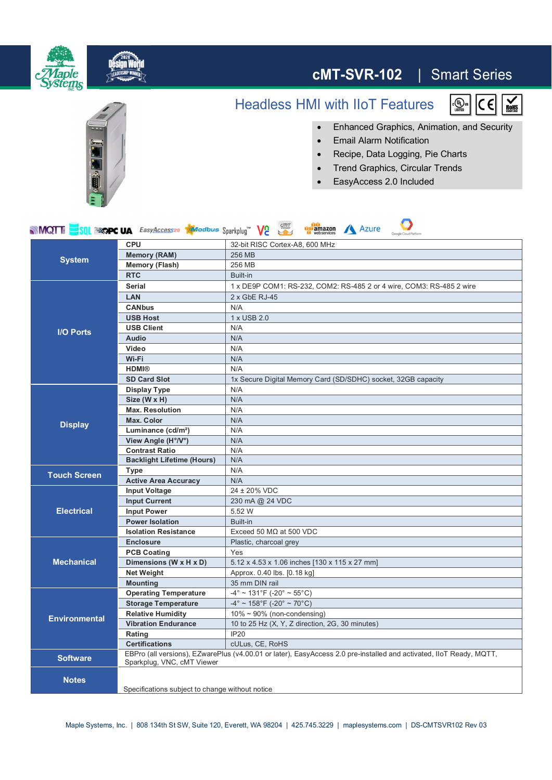

## **cMT-SVR-102** | Smart Series

## Headless HMI with IIoT Features



 $\frac{1}{\log_{10} n}$ 

- ∂ Enhanced Graphics, Animation, and Security
	- ∂ Email Alarm Notification
	- ∂ Recipe, Data Logging, Pie Charts
	- ∂ Trend Graphics, Circular Trends
	- ∂ EasyAccess 2.0 Included

| Viewer<br><b>Azure</b><br><b>MQT</b><br><b>SOL SECRE UA</b> EasyAccesses <b>Modbus</b> Sparkplug" Ve<br>amazon<br>Google Cloud Platform |                                                                                                                                                   |                                                                      |
|-----------------------------------------------------------------------------------------------------------------------------------------|---------------------------------------------------------------------------------------------------------------------------------------------------|----------------------------------------------------------------------|
| <b>System</b>                                                                                                                           | <b>CPU</b>                                                                                                                                        | 32-bit RISC Cortex-A8, 600 MHz                                       |
|                                                                                                                                         | <b>Memory (RAM)</b>                                                                                                                               | 256 MB                                                               |
|                                                                                                                                         | <b>Memory (Flash)</b>                                                                                                                             | 256 MB                                                               |
|                                                                                                                                         | <b>RTC</b>                                                                                                                                        | Built-in                                                             |
| <b>I/O Ports</b>                                                                                                                        | <b>Serial</b>                                                                                                                                     | 1 x DE9P COM1: RS-232, COM2: RS-485 2 or 4 wire, COM3: RS-485 2 wire |
|                                                                                                                                         | <b>LAN</b>                                                                                                                                        | $2x$ GbE RJ-45                                                       |
|                                                                                                                                         | <b>CANbus</b>                                                                                                                                     | N/A                                                                  |
|                                                                                                                                         | <b>USB Host</b>                                                                                                                                   | 1 x USB 2.0                                                          |
|                                                                                                                                         | <b>USB Client</b>                                                                                                                                 | N/A                                                                  |
|                                                                                                                                         | <b>Audio</b>                                                                                                                                      | N/A                                                                  |
|                                                                                                                                         | Video                                                                                                                                             | N/A                                                                  |
|                                                                                                                                         | Wi-Fi                                                                                                                                             | N/A                                                                  |
|                                                                                                                                         | <b>HDMI®</b>                                                                                                                                      | N/A                                                                  |
|                                                                                                                                         | <b>SD Card Slot</b>                                                                                                                               | 1x Secure Digital Memory Card (SD/SDHC) socket, 32GB capacity        |
| <b>Display</b>                                                                                                                          | <b>Display Type</b>                                                                                                                               | N/A                                                                  |
|                                                                                                                                         | Size (W x H)                                                                                                                                      | N/A                                                                  |
|                                                                                                                                         | <b>Max. Resolution</b>                                                                                                                            | N/A                                                                  |
|                                                                                                                                         | <b>Max. Color</b>                                                                                                                                 | N/A                                                                  |
|                                                                                                                                         | Luminance (cd/m <sup>2</sup> )                                                                                                                    | N/A                                                                  |
|                                                                                                                                         | View Angle (H°/V°)                                                                                                                                | N/A                                                                  |
|                                                                                                                                         | <b>Contrast Ratio</b>                                                                                                                             | N/A                                                                  |
|                                                                                                                                         | <b>Backlight Lifetime (Hours)</b>                                                                                                                 | N/A                                                                  |
| <b>Touch Screen</b>                                                                                                                     | Type                                                                                                                                              | N/A                                                                  |
|                                                                                                                                         | <b>Active Area Accuracy</b>                                                                                                                       | N/A                                                                  |
| <b>Electrical</b>                                                                                                                       | <b>Input Voltage</b>                                                                                                                              | 24 ± 20% VDC                                                         |
|                                                                                                                                         | <b>Input Current</b>                                                                                                                              | 230 mA @ 24 VDC                                                      |
|                                                                                                                                         | <b>Input Power</b>                                                                                                                                | 5.52 W                                                               |
|                                                                                                                                         | <b>Power Isolation</b>                                                                                                                            | Built-in                                                             |
|                                                                                                                                         | <b>Isolation Resistance</b>                                                                                                                       | Exceed 50 $M\Omega$ at 500 VDC                                       |
| <b>Mechanical</b>                                                                                                                       | <b>Enclosure</b>                                                                                                                                  | Plastic, charcoal grey                                               |
|                                                                                                                                         | <b>PCB Coating</b>                                                                                                                                | Yes                                                                  |
|                                                                                                                                         | Dimensions (W x H x D)                                                                                                                            | 5.12 x 4.53 x 1.06 inches [130 x 115 x 27 mm]                        |
|                                                                                                                                         | <b>Net Weight</b>                                                                                                                                 | Approx. 0.40 lbs. [0.18 kg]                                          |
|                                                                                                                                         | <b>Mounting</b>                                                                                                                                   | 35 mm DIN rail                                                       |
| <b>Environmental</b>                                                                                                                    | <b>Operating Temperature</b>                                                                                                                      | $-4^{\circ}$ ~ 131°F (-20° ~ 55°C)                                   |
|                                                                                                                                         | <b>Storage Temperature</b>                                                                                                                        | $-4^{\circ}$ ~ 158°F (-20° ~ 70°C)                                   |
|                                                                                                                                         | <b>Relative Humidity</b>                                                                                                                          | $10\% \sim 90\%$ (non-condensing)                                    |
|                                                                                                                                         | <b>Vibration Endurance</b>                                                                                                                        | 10 to 25 Hz (X, Y, Z direction, 2G, 30 minutes)                      |
|                                                                                                                                         | Rating                                                                                                                                            | <b>IP20</b>                                                          |
|                                                                                                                                         | <b>Certifications</b>                                                                                                                             | cULus, CE, RoHS                                                      |
| <b>Software</b>                                                                                                                         | EBPro (all versions), EZwarePlus (v4.00.01 or later), EasyAccess 2.0 pre-installed and activated, IIoT Ready, MQTT,<br>Sparkplug, VNC, cMT Viewer |                                                                      |
| <b>Notes</b>                                                                                                                            | Specifications subject to change without notice                                                                                                   |                                                                      |
|                                                                                                                                         |                                                                                                                                                   |                                                                      |

Maple Systems, Inc. | 808 134th St SW, Suite 120, Everett, WA 98204 | 425.745.3229 | maplesystems.com | DS-CMTSVR102 Rev 03